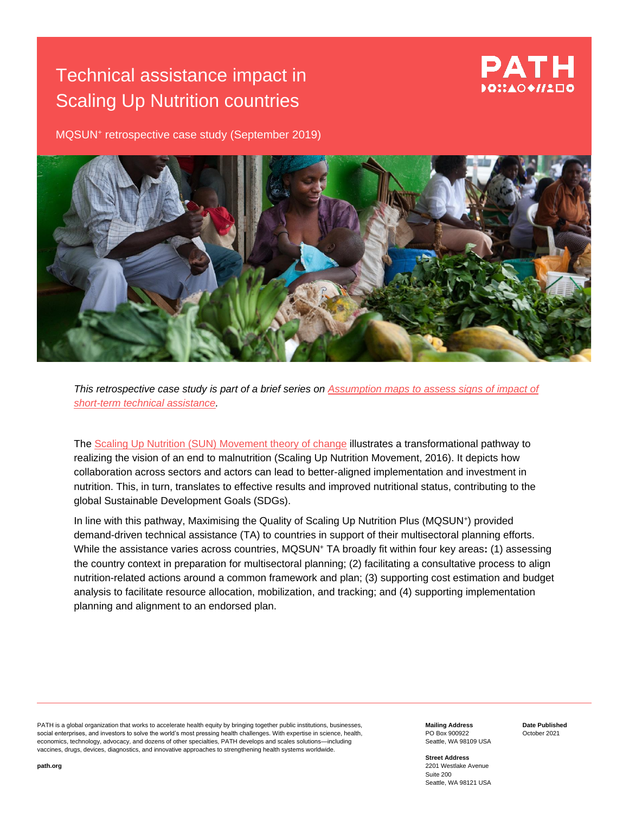# Technical assistance impact in Scaling Up Nutrition countries



MQSUN<sup>+</sup> retrospective case study (September 2019)



*This retrospective case study is part of a brief series on [Assumption maps to assess signs of](https://mqsunplus.path.org/resources/assumption-maps-to-assess-signs-of-impact-of-short-term-technical-assistance/) impact of [short-term technical assistance.](https://mqsunplus.path.org/resources/assumption-maps-to-assess-signs-of-impact-of-short-term-technical-assistance/)*

The Scaling Up Nutrition (SUN) [Movement theory of change](https://scalingupnutrition.org/wp-content/uploads/2016/09/SR_20160901_ENG_web_pages.pdf) illustrates a transformational pathway to realizing the vision of an end to malnutrition (Scaling Up Nutrition Movement, 2016). It depicts how collaboration across sectors and actors can lead to better-aligned implementation and investment in nutrition. This, in turn, translates to effective results and improved nutritional status, contributing to the global Sustainable Development Goals (SDGs).

In line with this pathway, Maximising the Quality of Scaling Up Nutrition Plus (MQSUN<sup>+</sup> ) provided demand-driven technical assistance (TA) to countries in support of their multisectoral planning efforts. While the assistance varies across countries, MQSUN<sup>+</sup> TA broadly fit within four key areas**:** (1) assessing the country context in preparation for multisectoral planning; (2) facilitating a consultative process to align nutrition-related actions around a common framework and plan; (3) supporting cost estimation and budget analysis to facilitate resource allocation, mobilization, and tracking; and (4) supporting implementation planning and alignment to an endorsed plan.

PATH is a global organization that works to accelerate health equity by bringing together public institutions, businesses, social enterprises, and investors to solve the world's most pressing health challenges. With expertise in science, health, economics, technology, advocacy, and dozens of other specialties, PATH develops and scales solutions—including vaccines, drugs, devices, diagnostics, and innovative approaches to strengthening health systems worldwide.

**Mailing Address** PO Box 900922 Seattle, WA 98109 USA **Date Published** October 2021

**Street Address** 2201 Westlake Avenue Suite 200 Seattle, WA 98121 USA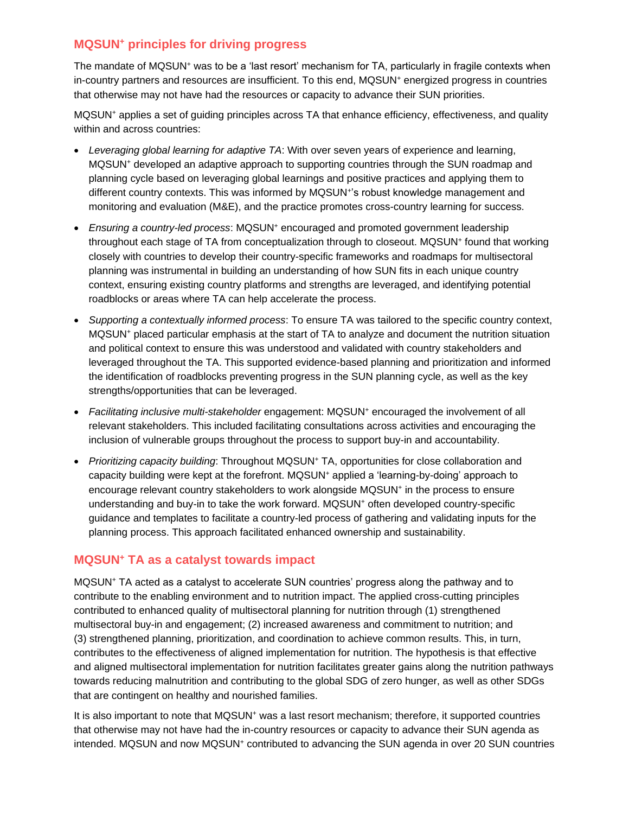## **MQSUN<sup>+</sup> principles for driving progress**

The mandate of MQSUN<sup>+</sup> was to be a 'last resort' mechanism for TA, particularly in fragile contexts when in-country partners and resources are insufficient. To this end, MQSUN<sup>+</sup> energized progress in countries that otherwise may not have had the resources or capacity to advance their SUN priorities.

MQSUN<sup>+</sup> applies a set of guiding principles across TA that enhance efficiency, effectiveness, and quality within and across countries:

- *Leveraging global learning for adaptive TA*: With over seven years of experience and learning, MQSUN<sup>+</sup> developed an adaptive approach to supporting countries through the SUN roadmap and planning cycle based on leveraging global learnings and positive practices and applying them to different country contexts. This was informed by MQSUN<sup>+</sup> 's robust knowledge management and monitoring and evaluation (M&E), and the practice promotes cross-country learning for success.
- *Ensuring a country-led process*: MQSUN<sup>+</sup> encouraged and promoted government leadership throughout each stage of TA from conceptualization through to closeout. MQSUN<sup>+</sup> found that working closely with countries to develop their country-specific frameworks and roadmaps for multisectoral planning was instrumental in building an understanding of how SUN fits in each unique country context, ensuring existing country platforms and strengths are leveraged, and identifying potential roadblocks or areas where TA can help accelerate the process.
- *Supporting a contextually informed process*: To ensure TA was tailored to the specific country context, MQSUN<sup>+</sup> placed particular emphasis at the start of TA to analyze and document the nutrition situation and political context to ensure this was understood and validated with country stakeholders and leveraged throughout the TA. This supported evidence-based planning and prioritization and informed the identification of roadblocks preventing progress in the SUN planning cycle, as well as the key strengths/opportunities that can be leveraged.
- *Facilitating inclusive multi-stakeholder* engagement: MQSUN<sup>+</sup> encouraged the involvement of all relevant stakeholders. This included facilitating consultations across activities and encouraging the inclusion of vulnerable groups throughout the process to support buy-in and accountability.
- *Prioritizing capacity building*: Throughout MQSUN<sup>+</sup> TA, opportunities for close collaboration and capacity building were kept at the forefront. MQSUN<sup>+</sup> applied a 'learning-by-doing' approach to encourage relevant country stakeholders to work alongside MQSUN<sup>+</sup> in the process to ensure understanding and buy-in to take the work forward. MQSUN<sup>+</sup> often developed country-specific guidance and templates to facilitate a country-led process of gathering and validating inputs for the planning process. This approach facilitated enhanced ownership and sustainability.

### **MQSUN<sup>+</sup> TA as a catalyst towards impact**

MQSUN<sup>+</sup> TA acted as a catalyst to accelerate SUN countries' progress along the pathway and to contribute to the enabling environment and to nutrition impact. The applied cross-cutting principles contributed to enhanced quality of multisectoral planning for nutrition through (1) strengthened multisectoral buy-in and engagement; (2) increased awareness and commitment to nutrition; and (3) strengthened planning, prioritization, and coordination to achieve common results. This, in turn, contributes to the effectiveness of aligned implementation for nutrition. The hypothesis is that effective and aligned multisectoral implementation for nutrition facilitates greater gains along the nutrition pathways towards reducing malnutrition and contributing to the global SDG of zero hunger, as well as other SDGs that are contingent on healthy and nourished families.

It is also important to note that MQSUN<sup>+</sup> was a last resort mechanism; therefore, it supported countries that otherwise may not have had the in-country resources or capacity to advance their SUN agenda as intended. MQSUN and now MQSUN<sup>+</sup> contributed to advancing the SUN agenda in over 20 SUN countries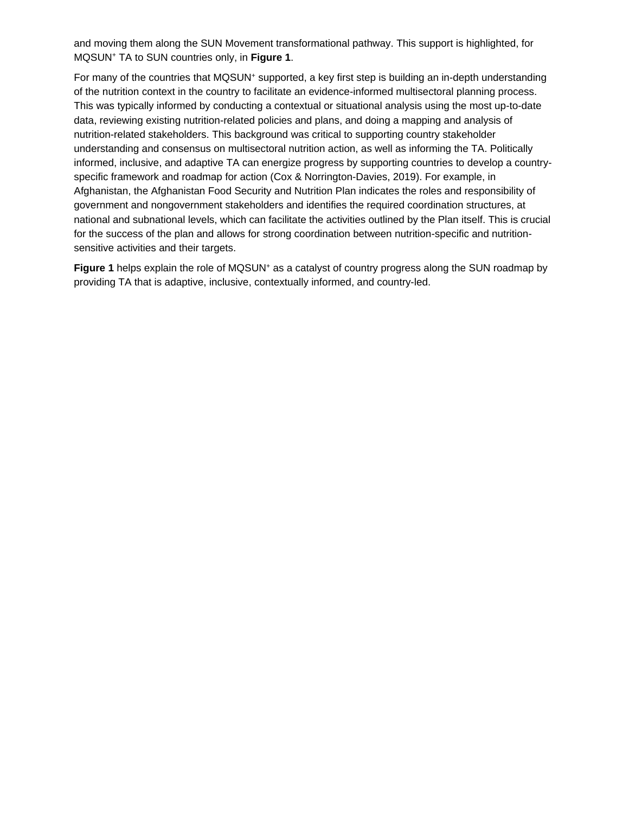and moving them along the SUN Movement transformational pathway. This support is highlighted, for MQSUN<sup>+</sup> TA to SUN countries only, in **Figure 1**.

For many of the countries that MQSUN<sup>+</sup> supported, a key first step is building an in-depth understanding of the nutrition context in the country to facilitate an evidence-informed multisectoral planning process. This was typically informed by conducting a contextual or situational analysis using the most up-to-date data, reviewing existing nutrition-related policies and plans, and doing a mapping and analysis of nutrition-related stakeholders. This background was critical to supporting country stakeholder understanding and consensus on multisectoral nutrition action, as well as informing the TA. Politically informed, inclusive, and adaptive TA can energize progress by supporting countries to develop a countryspecific framework and roadmap for action (Cox & Norrington-Davies, 2019). For example, in Afghanistan, the Afghanistan Food Security and Nutrition Plan indicates the roles and responsibility of government and nongovernment stakeholders and identifies the required coordination structures, at national and subnational levels, which can facilitate the activities outlined by the Plan itself. This is crucial for the success of the plan and allows for strong coordination between nutrition-specific and nutritionsensitive activities and their targets.

**Figure 1** helps explain the role of MQSUN<sup>+</sup> as a catalyst of country progress along the SUN roadmap by providing TA that is adaptive, inclusive, contextually informed, and country-led.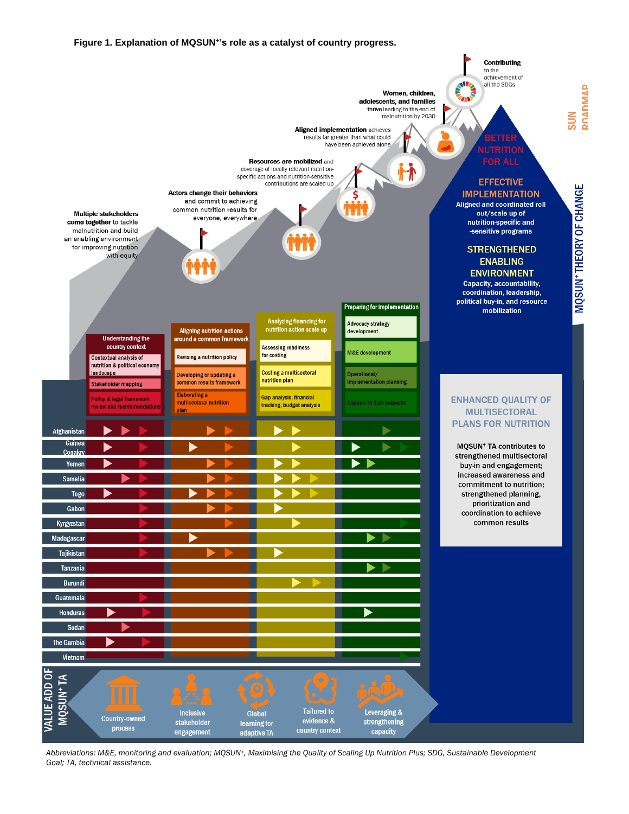

*Abbreviations: M&E, monitoring and evaluation; MQSUN+, Maximising the Quality of Scaling Up Nutrition Plus; SDG, Sustainable Development Goal; TA, technical assistance.*